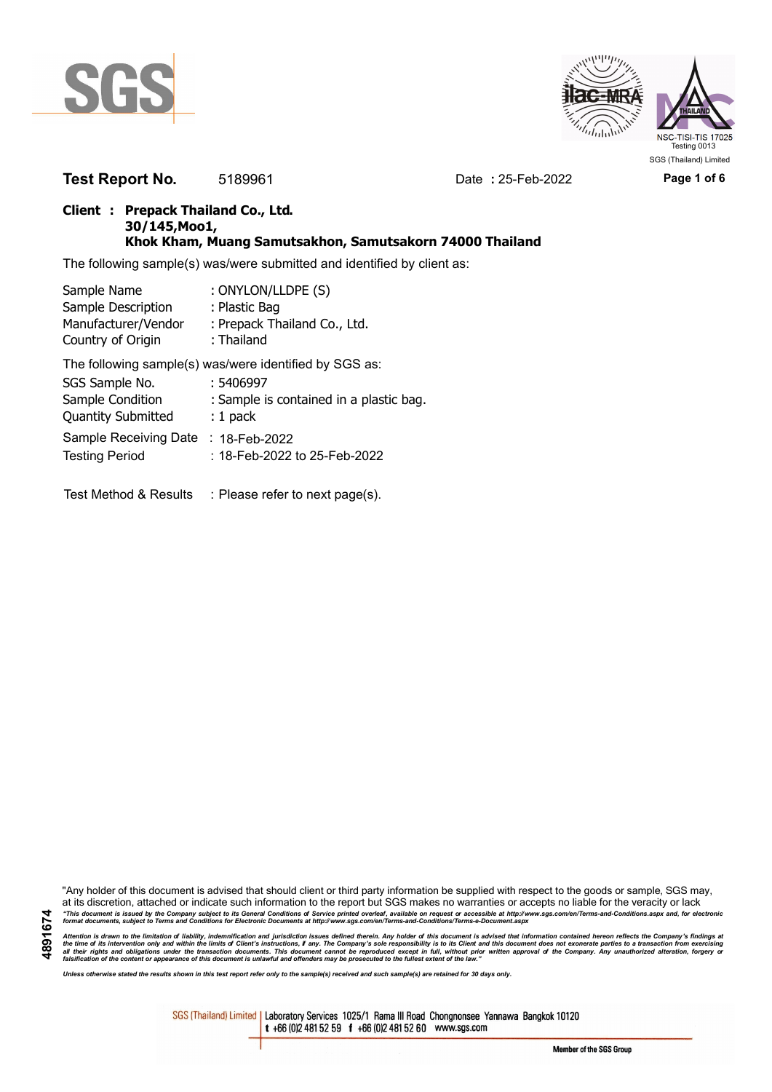



**Test Report No.** 5189961 Date **:** 25-Feb-2022 Page 1 of 6

## **Client : Prepack Thailand Co., Ltd. 30/145,Moo1, Khok Kham, Muang Samutsakhon, Samutsakorn 74000 Thailand**

The following sample(s) was/were submitted and identified by client as:

| Sample Name                      | : ONYLON/LLDPE (S)                                     |
|----------------------------------|--------------------------------------------------------|
| Sample Description               | : Plastic Bag                                          |
| Manufacturer/Vendor              | : Prepack Thailand Co., Ltd.                           |
| Country of Origin                | : Thailand                                             |
|                                  | The following sample(s) was/were identified by SGS as: |
| SGS Sample No.                   | : 5406997                                              |
| Sample Condition                 | : Sample is contained in a plastic bag.                |
| <b>Quantity Submitted</b>        | $: 1$ pack                                             |
| Sample Receiving Date            | $: 18$ -Feb-2022                                       |
| <b>Testing Period</b>            | :18-Feb-2022 to 25-Feb-2022                            |
|                                  |                                                        |
| <b>Test Method &amp; Results</b> | : Please refer to next page(s).                        |

"Any holder of this document is advised that should client or third party information be supplied with respect to the goods or sample, SGS may, at its discretion, attached or indicate such information to the report but SGS makes no warranties or accepts no liable for the veracity or lack "This document is issued by the Company subject to its General Conditions of Service printed overleaf, available on request or accessible at http://www.sgs.com/en/Terms-and-Conditions.aspx and, for electronic<br>format docume

Attention is drawn to the limitation of liability, indemnification and jurisdiction issues defined therein. Any holder of this document is advised that information contained hereon reflects the Company's findings at<br>all th

*Unless otherwise stated the results shown in this test report refer only to the sample(s) received and such sample(s) are retained for 30 days only.*

SGS (Thailand) Limited | Laboratory Services 1025/1 Rama III Road Chongnonsee Yannawa Bangkok 10120 t +66 (0)2 481 52 59 f +66 (0)2 481 52 60 www.sgs.com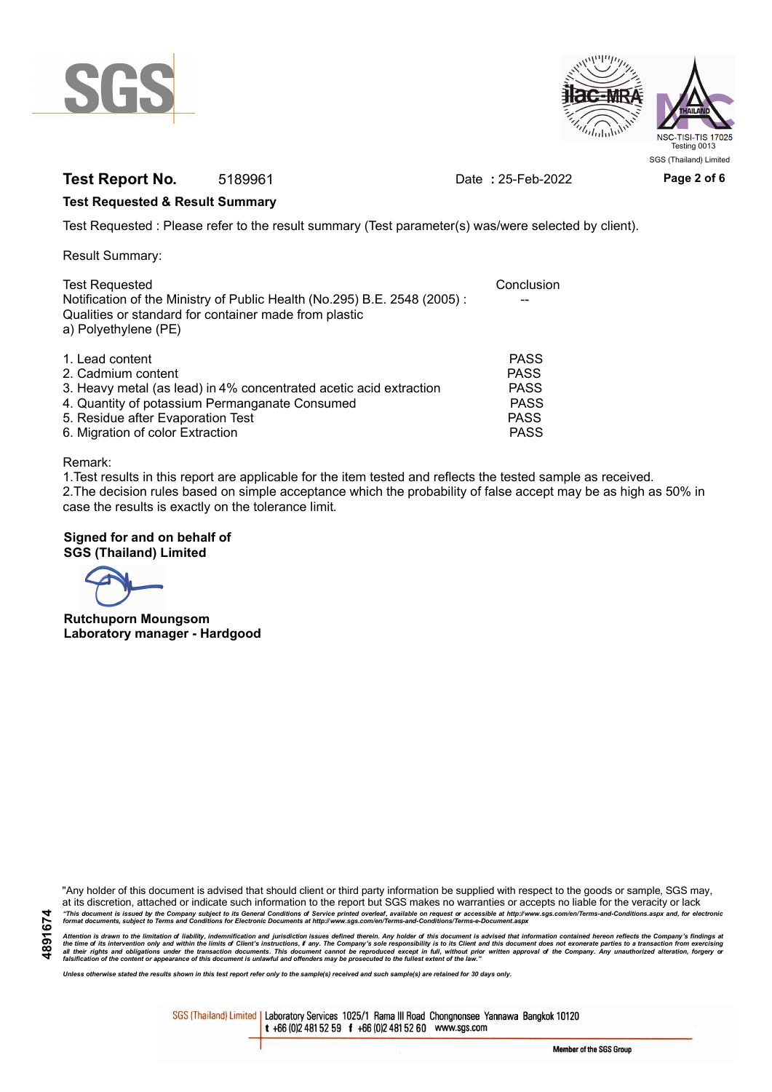



# **Test Report No.** 5189961 Date **:** 25-Feb-2022 Page 2 of 6

### **Test Requested & Result Summary**

Test Requested : Please refer to the result summary (Test parameter(s) was/were selected by client).

Result Summary:

| <b>Test Requested</b>                                                                                                                                     | Conclusion  |
|-----------------------------------------------------------------------------------------------------------------------------------------------------------|-------------|
| Notification of the Ministry of Public Health (No.295) B.E. 2548 (2005):<br>Qualities or standard for container made from plastic<br>a) Polyethylene (PE) |             |
|                                                                                                                                                           |             |
| 1. Lead content                                                                                                                                           | <b>PASS</b> |
| 2. Cadmium content                                                                                                                                        | <b>PASS</b> |
| 3. Heavy metal (as lead) in 4% concentrated acetic acid extraction                                                                                        | <b>PASS</b> |
| 4. Quantity of potassium Permanganate Consumed                                                                                                            | <b>PASS</b> |
| 5. Residue after Evaporation Test                                                                                                                         | <b>PASS</b> |
| 6. Migration of color Extraction                                                                                                                          | <b>PASS</b> |

#### Remark:

1.Test results in this report are applicable for the item tested and reflects the tested sample as received. 2.The decision rules based on simple acceptance which the probability of false accept may be as high as 50% in case the results is exactly on the tolerance limit.

### **Signed for and on behalf of SGS (Thailand) Limited**

**Rutchuporn Moungsom Laboratory manager - Hardgood**

"Any holder of this document is advised that should client or third party information be supplied with respect to the goods or sample, SGS may, at its discretion, attached or indicate such information to the report but SGS makes no warranties or accepts no liable for the veracity or lack "This document is issued by the Company subject to its General Conditions of Service printed overleaf, available on request or accessible at http://www.sgs.com/en/Terms-and-Conditions.aspx and, for electronic<br>format docume

Attention is drawn to the limitation of liability, indemnification and jurisdiction issues defined therein. Any holder of this document is advised that information contained hereon reflects the Company's findings at<br>all th

*Unless otherwise stated the results shown in this test report refer only to the sample(s) received and such sample(s) are retained for 30 days only.*

SGS (Thailand) Limited | Laboratory Services 1025/1 Rama III Road Chongnonsee Yannawa Bangkok 10120 t +66 (0)2 481 52 59 f +66 (0)2 481 52 60 www.sgs.com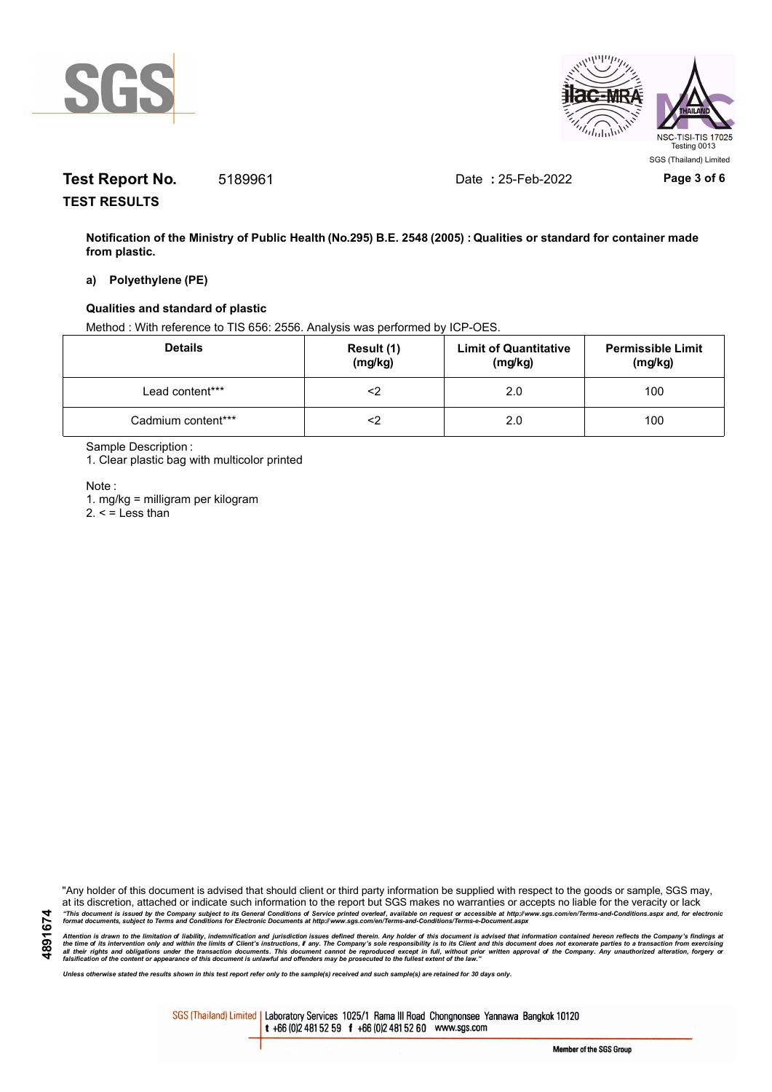



# **Test Report No.** 5189961 Date **:** 25-Feb-2022 **Page 3 of 6**

**TEST RESULTS**

**Notification of the Ministry of Public Health (No.295) B.E. 2548 (2005) : Qualities or standard for container made from plastic.**

### **a) Polyethylene (PE)**

### **Qualities and standard of plastic**

Method : With reference to TIS 656: 2556. Analysis was performed by ICP-OES.

| <b>Details</b>     | Result (1)<br>(mg/kg) | <b>Limit of Quantitative</b><br>(mg/kg) | <b>Permissible Limit</b><br>(mg/kg) |
|--------------------|-----------------------|-----------------------------------------|-------------------------------------|
| Lead content***    |                       | 2.0                                     | 100                                 |
| Cadmium content*** |                       | 2.0                                     | 100                                 |

Sample Description :

1. Clear plastic bag with multicolor printed

Note :

**4891674**

1. mg/kg = milligram per kilogram

 $2. <$  = Less than

"Any holder of this document is advised that should client or third party information be supplied with respect to the goods or sample, SGS may, at its discretion, attached or indicate such information to the report but SGS makes no warranties or accepts no liable for the veracity or lack "This document is issued by the Company subject to its General Conditions of Service printed overleaf, available on request or accessible at http://www.sgs.com/en/Terms-and-Conditions.aspx and, for electronic<br>format docume

Attention is drawn to the limitation of liability, indemnification and jurisdiction issues defined therein. Any holder of this document is advised that information contained hereon reflects the Company's findings at<br>all th

*Unless otherwise stated the results shown in this test report refer only to the sample(s) received and such sample(s) are retained for 30 days only.*

SGS (Thailand) Limited | Laboratory Services 1025/1 Rama III Road Chongnonsee Yannawa Bangkok 10120 t +66 (0)2 481 52 59 f +66 (0)2 481 52 60 www.sgs.com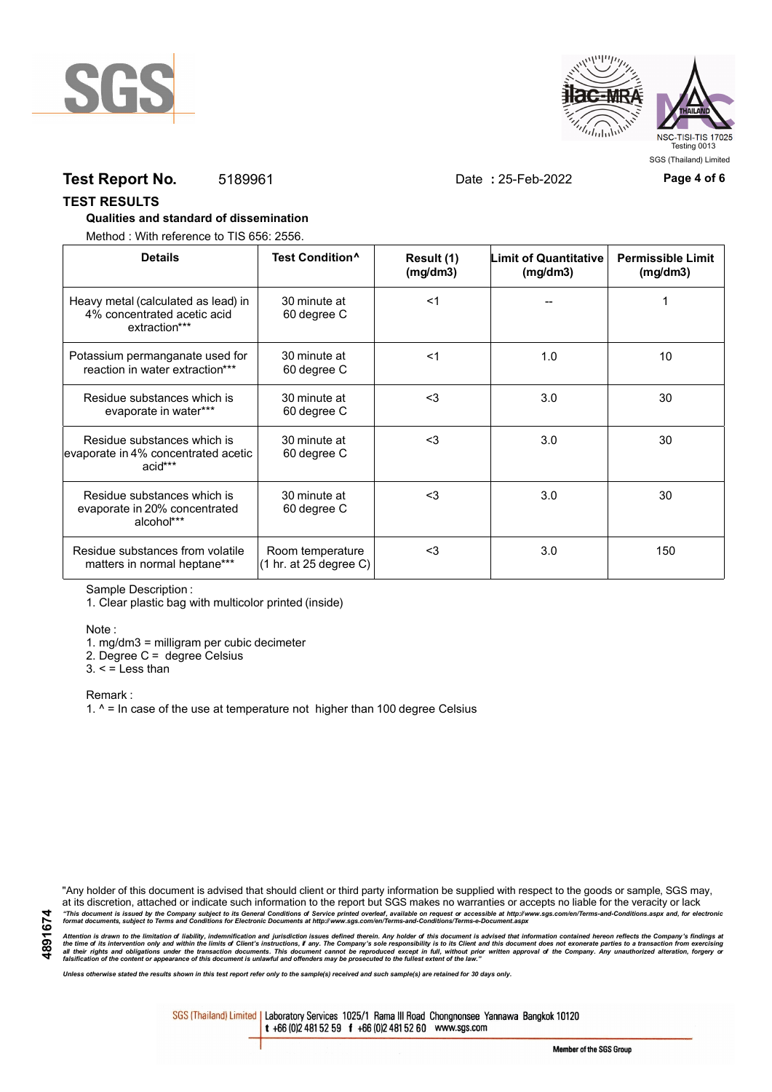



## **Test Report No.** 5189961 Date **:** 25-Feb-2022 **Page 4 of 6**

### **TEST RESULTS**

#### **Qualities and standard of dissemination**

Method : With reference to TIS 656: 2556.

| <b>Details</b>                                                                      | Test Condition <sup>^</sup>                | Result (1)<br>(mq/dm3) | <b>Limit of Quantitative</b><br>(mg/dm3) | <b>Permissible Limit</b><br>(mg/dm3) |
|-------------------------------------------------------------------------------------|--------------------------------------------|------------------------|------------------------------------------|--------------------------------------|
| Heavy metal (calculated as lead) in<br>4% concentrated acetic acid<br>extraction*** | 30 minute at<br>60 degree C                | $<$ 1                  |                                          |                                      |
| Potassium permanganate used for<br>reaction in water extraction***                  | 30 minute at<br>60 degree C                | $<$ 1                  | 1.0                                      | 10                                   |
| Residue substances which is<br>evaporate in water***                                | 30 minute at<br>60 degree C                | $3$                    | 3.0                                      | 30                                   |
| Residue substances which is<br>evaporate in 4% concentrated acetic<br>acid***       | 30 minute at<br>60 degree C                | $3$                    | 3.0                                      | 30                                   |
| Residue substances which is<br>evaporate in 20% concentrated<br>alcohol***          | 30 minute at<br>60 degree C                | $3$                    | 3.0                                      | 30                                   |
| Residue substances from volatile<br>matters in normal heptane***                    | Room temperature<br>(1 hr. at 25 degree C) | $<$ 3                  | 3.0                                      | 150                                  |

Sample Description :

1. Clear plastic bag with multicolor printed (inside)

Note :

1. mg/dm3 = milligram per cubic decimeter

2. Degree C = degree Celsius

 $3. <$  = Less than

Remark :

1.  $^{\circ}$  = In case of the use at temperature not higher than 100 degree Celsius

"Any holder of this document is advised that should client or third party information be supplied with respect to the goods or sample, SGS may, at its discretion, attached or indicate such information to the report but SGS makes no warranties or accepts no liable for the veracity or lack "This document is issued by the Company subject to its General Conditions of Service printed overleaf, available on request or accessible at http://www.sgs.com/en/Terms-and-Conditions.aspx and, for electronic<br>format docume

Attention is drawn to the limitation of liability, indemnification and jurisdiction issues defined therein. Any holder of this document is advised that information contained hereon reflects the Company's findings at<br>all th

*Unless otherwise stated the results shown in this test report refer only to the sample(s) received and such sample(s) are retained for 30 days only.*

SGS (Thailand) Limited | Laboratory Services 1025/1 Rama III Road Chongnonsee Yannawa Bangkok 10120 t +66 (0)2 481 52 59 f +66 (0)2 481 52 60 www.sgs.com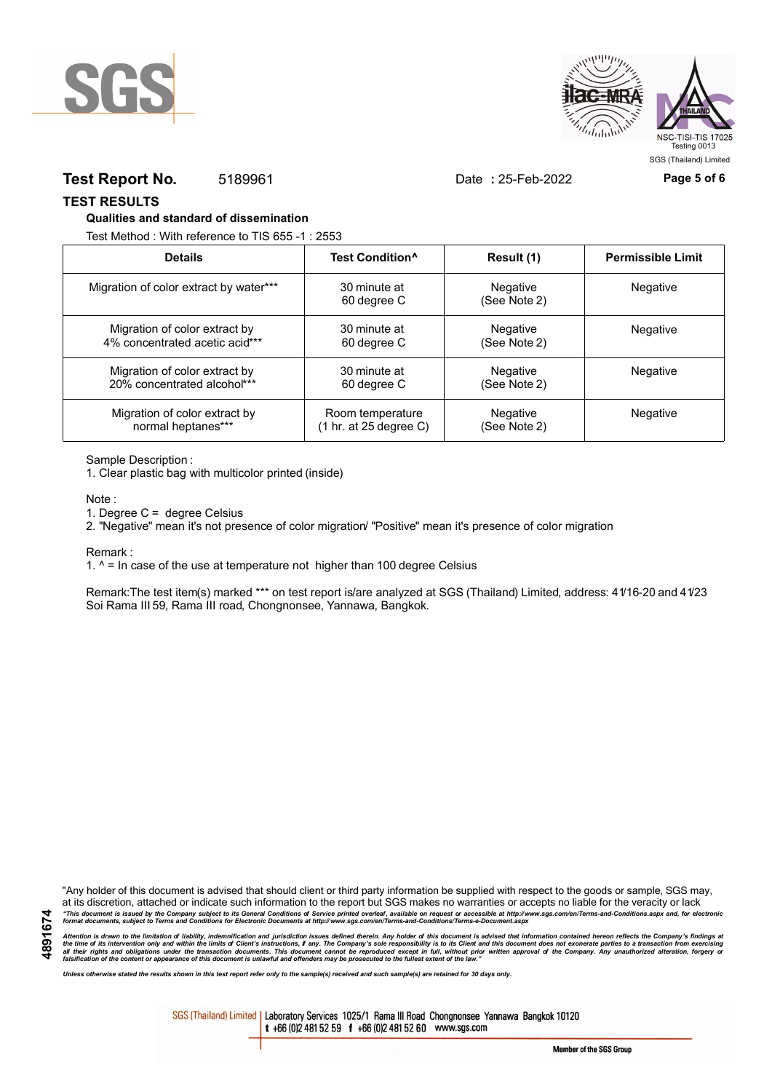



## **Test Report No.** 5189961 Date **:** 25-Feb-2022 **Page 5 of 6**

**TEST RESULTS**

#### **Qualities and standard of dissemination**

Test Method : With reference to TIS 655 -1 : 2553

| <b>Details</b>                         | Test Condition <sup>^</sup>               | Result (1)               | <b>Permissible Limit</b> |
|----------------------------------------|-------------------------------------------|--------------------------|--------------------------|
| Migration of color extract by water*** | 30 minute at<br>60 degree C               | Negative<br>(See Note 2) | Negative                 |
| Migration of color extract by          | 30 minute at                              | Negative                 | Negative                 |
| 4% concentrated acetic acid***         | 60 degree C                               | (See Note 2)             |                          |
| Migration of color extract by          | 30 minute at                              | Negative                 | Negative                 |
| 20% concentrated alcohol***            | 60 degree C                               | (See Note 2)             |                          |
| Migration of color extract by          | Room temperature                          | Negative                 | <b>Negative</b>          |
| normal heptanes***                     | $(1 \text{ hr. at } 25 \text{ degree C})$ | (See Note 2)             |                          |

Sample Description :

1. Clear plastic bag with multicolor printed (inside)

Note :

1. Degree C = degree Celsius

2. "Negative" mean it's not presence of color migration/ "Positive" mean it's presence of color migration

Remark :

1.  $^{\circ}$  = In case of the use at temperature not higher than 100 degree Celsius

Remark:The test item(s) marked \*\*\* on test report is/are analyzed at SGS (Thailand) Limited, address: 41/16-20 and 41/23 Soi Rama III 59, Rama III road, Chongnonsee, Yannawa, Bangkok.

**4891674**

"Any holder of this document is advised that should client or third party information be supplied with respect to the goods or sample, SGS may, at its discretion, attached or indicate such information to the report but SGS makes no warranties or accepts no liable for the veracity or lack "This document is issued by the Company subject to its General Conditions of Service printed overleaf, available on request or accessible at http://www.sgs.com/en/Terms-and-Conditions.aspx and, for electronic<br>format docume

Attention is drawn to the limitation of liability, indemnification and jurisdiction issues defined therein. Any holder of this document is advised that information contained hereon reflects the Company's findings at<br>all th

*Unless otherwise stated the results shown in this test report refer only to the sample(s) received and such sample(s) are retained for 30 days only.*

SGS (Thailand) Limited | Laboratory Services 1025/1 Rama III Road Chongnonsee Yannawa Bangkok 10120 t +66 (0)2 481 52 59 f +66 (0)2 481 52 60 www.sgs.com